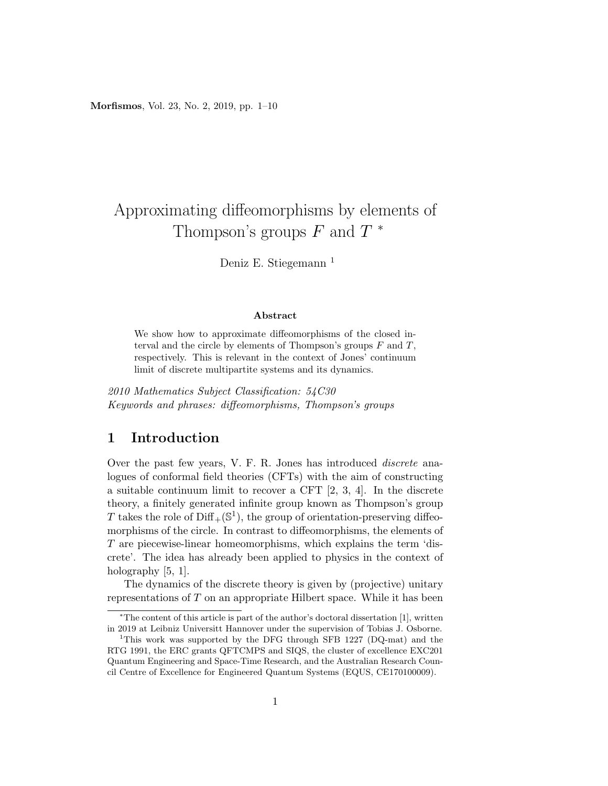Morfismos, Vol. 23, No. 2, 2019, pp. 1–10

# Approximating diffeomorphisms by elements of Thompson's groups  $F$  and  $T^*$

Deniz E. Stiegemann <sup>1</sup>

#### Abstract

We show how to approximate diffeomorphisms of the closed interval and the circle by elements of Thompson's groups  $F$  and  $T$ , respectively. This is relevant in the context of Jones' continuum limit of discrete multipartite systems and its dynamics.

2010 Mathematics Subject Classification: 54C30 Keywords and phrases: diffeomorphisms, Thompson's groups

# 1 Introduction

Over the past few years, V. F. R. Jones has introduced discrete analogues of conformal field theories (CFTs) with the aim of constructing a suitable continuum limit to recover a CFT [2, 3, 4]. In the discrete theory, a finitely generated infinite group known as Thompson's group T takes the role of  $\text{Diff}_{+}(\mathbb{S}^{1}),$  the group of orientation-preserving diffeomorphisms of the circle. In contrast to diffeomorphisms, the elements of T are piecewise-linear homeomorphisms, which explains the term 'discrete'. The idea has already been applied to physics in the context of holography [5, 1].

The dynamics of the discrete theory is given by (projective) unitary representations of T on an appropriate Hilbert space. While it has been

<sup>∗</sup>The content of this article is part of the author's doctoral dissertation [1], written in 2019 at Leibniz Universitt Hannover under the supervision of Tobias J. Osborne.

<sup>&</sup>lt;sup>1</sup>This work was supported by the DFG through SFB 1227 (DQ-mat) and the RTG 1991, the ERC grants QFTCMPS and SIQS, the cluster of excellence EXC201 Quantum Engineering and Space-Time Research, and the Australian Research Council Centre of Excellence for Engineered Quantum Systems (EQUS, CE170100009).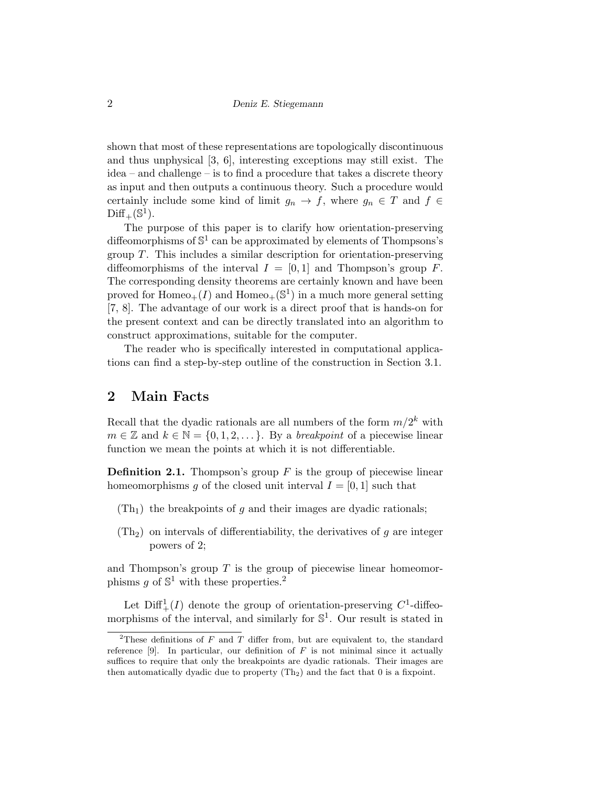shown that most of these representations are topologically discontinuous and thus unphysical [3, 6], interesting exceptions may still exist. The idea – and challenge – is to find a procedure that takes a discrete theory as input and then outputs a continuous theory. Such a procedure would certainly include some kind of limit  $g_n \to f$ , where  $g_n \in T$  and  $f \in$  $\mathrm{Diff}_+(\mathbb{S}^1).$ 

The purpose of this paper is to clarify how orientation-preserving diffeomorphisms of  $\mathbb{S}^1$  can be approximated by elements of Thompsons's group  $T$ . This includes a similar description for orientation-preserving diffeomorphisms of the interval  $I = [0, 1]$  and Thompson's group F. The corresponding density theorems are certainly known and have been proved for  $Homeo_+(I)$  and  $Homeo_+(\mathbb{S}^1)$  in a much more general setting [7, 8]. The advantage of our work is a direct proof that is hands-on for the present context and can be directly translated into an algorithm to construct approximations, suitable for the computer.

The reader who is specifically interested in computational applications can find a step-by-step outline of the construction in Section 3.1.

# 2 Main Facts

Recall that the dyadic rationals are all numbers of the form  $m/2^k$  with  $m \in \mathbb{Z}$  and  $k \in \mathbb{N} = \{0, 1, 2, \dots\}$ . By a *breakpoint* of a piecewise linear function we mean the points at which it is not differentiable.

**Definition 2.1.** Thompson's group  $F$  is the group of piecewise linear homeomorphisms g of the closed unit interval  $I = [0, 1]$  such that

- $(Th<sub>1</sub>)$  the breakpoints of q and their images are dyadic rationals;
- $(Th<sub>2</sub>)$  on intervals of differentiability, the derivatives of q are integer powers of 2;

and Thompson's group  $T$  is the group of piecewise linear homeomorphisms g of  $\mathbb{S}^1$  with these properties.<sup>2</sup>

Let  $\text{Diff}^1_+(I)$  denote the group of orientation-preserving  $C^1$ -diffeomorphisms of the interval, and similarly for  $\mathbb{S}^1$ . Our result is stated in

<sup>&</sup>lt;sup>2</sup>These definitions of F and T differ from, but are equivalent to, the standard reference  $[9]$ . In particular, our definition of F is not minimal since it actually suffices to require that only the breakpoints are dyadic rationals. Their images are then automatically dyadic due to property  $(Th<sub>2</sub>)$  and the fact that 0 is a fixpoint.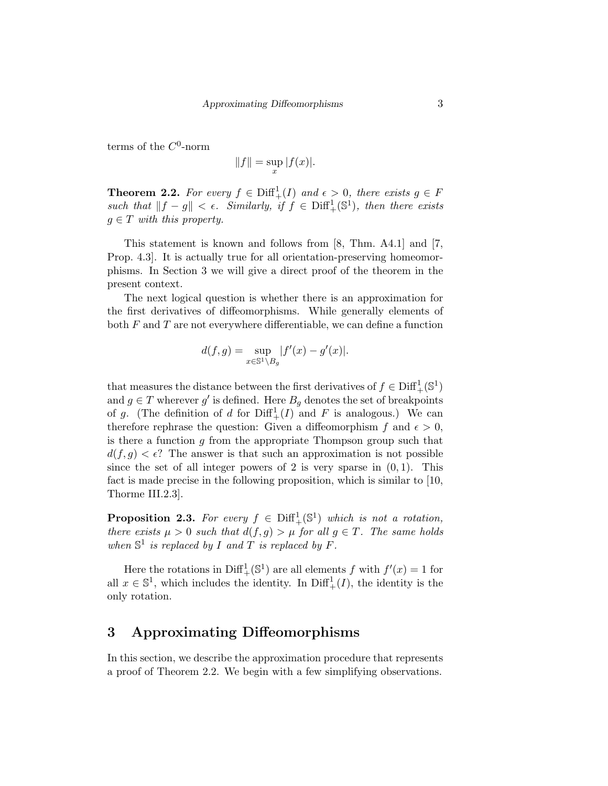terms of the  $C^0$ -norm

$$
||f|| = \sup_x |f(x)|.
$$

**Theorem 2.2.** For every  $f \in \text{Diff}^1_+(I)$  and  $\epsilon > 0$ , there exists  $g \in F$ such that  $||f - g|| < \epsilon$ . Similarly, if  $f \in \text{Diff}^1_+(\mathbb{S}^1)$ , then there exists  $g \in T$  with this property.

This statement is known and follows from [8, Thm. A4.1] and [7, Prop. 4.3]. It is actually true for all orientation-preserving homeomorphisms. In Section 3 we will give a direct proof of the theorem in the present context.

The next logical question is whether there is an approximation for the first derivatives of diffeomorphisms. While generally elements of both  $F$  and  $T$  are not everywhere differentiable, we can define a function

$$
d(f,g) = \sup_{x \in \mathbb{S}^1 \setminus B_g} |f'(x) - g'(x)|.
$$

that measures the distance between the first derivatives of  $f \in \text{Diff}^1_+(\mathbb{S}^1)$ and  $g \in T$  wherever  $g'$  is defined. Here  $B_g$  denotes the set of breakpoints of g. (The definition of d for  $\text{Diff}^1_+(I)$  and F is analogous.) We can therefore rephrase the question: Given a diffeomorphism f and  $\epsilon > 0$ , is there a function  $g$  from the appropriate Thompson group such that  $d(f, g) < \epsilon$ ? The answer is that such an approximation is not possible since the set of all integer powers of 2 is very sparse in  $(0, 1)$ . This fact is made precise in the following proposition, which is similar to [10, Thorme III.2.3].

**Proposition 2.3.** For every  $f \in \text{Diff}^1_+(\mathbb{S}^1)$  which is not a rotation, there exists  $\mu > 0$  such that  $d(f, g) > \mu$  for all  $g \in T$ . The same holds when  $\mathbb{S}^1$  is replaced by I and T is replaced by F.

Here the rotations in  $\text{Diff}^1_+(\mathbb{S}^1)$  are all elements f with  $f'(x) = 1$  for all  $x \in \mathbb{S}^1$ , which includes the identity. In  $\text{Diff}^1_+(I)$ , the identity is the only rotation.

# 3 Approximating Diffeomorphisms

In this section, we describe the approximation procedure that represents a proof of Theorem 2.2. We begin with a few simplifying observations.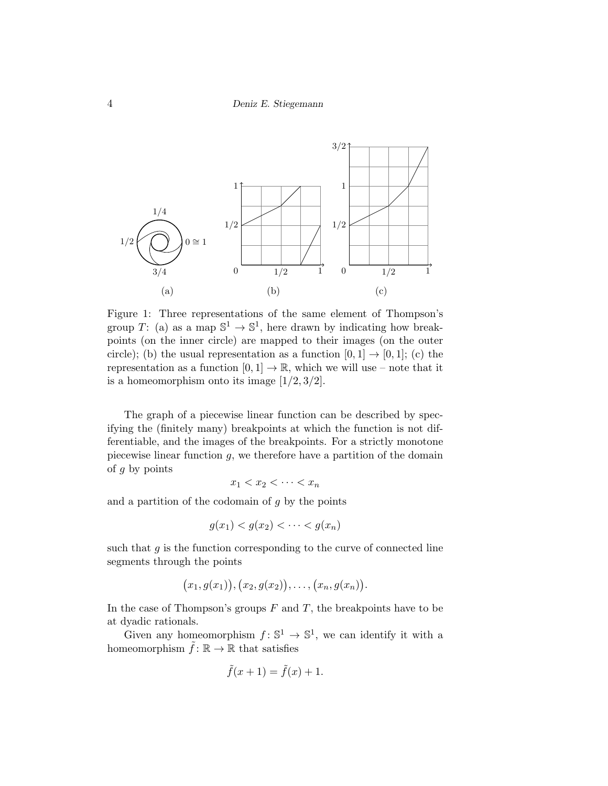

Figure 1: Three representations of the same element of Thompson's group T: (a) as a map  $\mathbb{S}^1 \to \mathbb{S}^1$ , here drawn by indicating how breakpoints (on the inner circle) are mapped to their images (on the outer circle); (b) the usual representation as a function  $[0, 1] \rightarrow [0, 1]$ ; (c) the representation as a function  $[0, 1] \rightarrow \mathbb{R}$ , which we will use – note that it is a homeomorphism onto its image  $[1/2, 3/2]$ .

The graph of a piecewise linear function can be described by specifying the (finitely many) breakpoints at which the function is not differentiable, and the images of the breakpoints. For a strictly monotone piecewise linear function  $q$ , we therefore have a partition of the domain of  $g$  by points

$$
x_1 < x_2 < \cdots < x_n
$$

and a partition of the codomain of  $g$  by the points

$$
g(x_1) < g(x_2) < \cdots < g(x_n)
$$

such that  $g$  is the function corresponding to the curve of connected line segments through the points

$$
(x_1,g(x_1)), (x_2,g(x_2)),..., (x_n,g(x_n)).
$$

In the case of Thompson's groups  $F$  and  $T$ , the breakpoints have to be at dyadic rationals.

Given any homeomorphism  $f: \mathbb{S}^1 \to \mathbb{S}^1$ , we can identify it with a homeomorphism  $\tilde{f} : \mathbb{R} \to \mathbb{R}$  that satisfies

$$
\tilde{f}(x+1) = \tilde{f}(x) + 1.
$$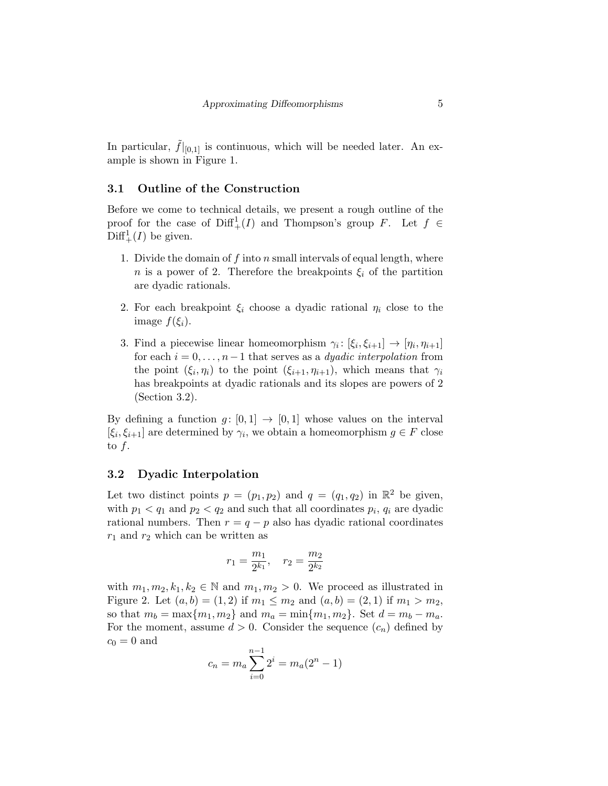In particular,  $\hat{f}|_{[0,1]}$  is continuous, which will be needed later. An example is shown in Figure 1.

### 3.1 Outline of the Construction

Before we come to technical details, we present a rough outline of the proof for the case of  $\text{Diff}^1_+(I)$  and Thompson's group F. Let  $f \in$  $\text{Diff}^1_+(I)$  be given.

- 1. Divide the domain of f into n small intervals of equal length, where n is a power of 2. Therefore the breakpoints  $\xi_i$  of the partition are dyadic rationals.
- 2. For each breakpoint  $\xi_i$  choose a dyadic rational  $\eta_i$  close to the image  $f(\xi_i)$ .
- 3. Find a piecewise linear homeomorphism  $\gamma_i: [\xi_i, \xi_{i+1}] \to [\eta_i, \eta_{i+1}]$ for each  $i = 0, \ldots, n-1$  that serves as a *dyadic interpolation* from the point  $(\xi_i, \eta_i)$  to the point  $(\xi_{i+1}, \eta_{i+1})$ , which means that  $\gamma_i$ has breakpoints at dyadic rationals and its slopes are powers of 2 (Section 3.2).

By defining a function  $g: [0,1] \rightarrow [0,1]$  whose values on the interval  $[\xi_i, \xi_{i+1}]$  are determined by  $\gamma_i$ , we obtain a homeomorphism  $g \in F$  close to  $f$ .

### 3.2 Dyadic Interpolation

Let two distinct points  $p = (p_1, p_2)$  and  $q = (q_1, q_2)$  in  $\mathbb{R}^2$  be given, with  $p_1 < q_1$  and  $p_2 < q_2$  and such that all coordinates  $p_i$ ,  $q_i$  are dyadic rational numbers. Then  $r = q - p$  also has dyadic rational coordinates  $r_1$  and  $r_2$  which can be written as

$$
r_1 = \frac{m_1}{2^{k_1}}, \quad r_2 = \frac{m_2}{2^{k_2}}
$$

with  $m_1, m_2, k_1, k_2 \in \mathbb{N}$  and  $m_1, m_2 > 0$ . We proceed as illustrated in Figure 2. Let  $(a, b) = (1, 2)$  if  $m_1 \le m_2$  and  $(a, b) = (2, 1)$  if  $m_1 > m_2$ , so that  $m_b = \max\{m_1, m_2\}$  and  $m_a = \min\{m_1, m_2\}$ . Set  $d = m_b - m_a$ . For the moment, assume  $d > 0$ . Consider the sequence  $(c_n)$  defined by  $c_0 = 0$  and

$$
c_n = m_a \sum_{i=0}^{n-1} 2^i = m_a (2^n - 1)
$$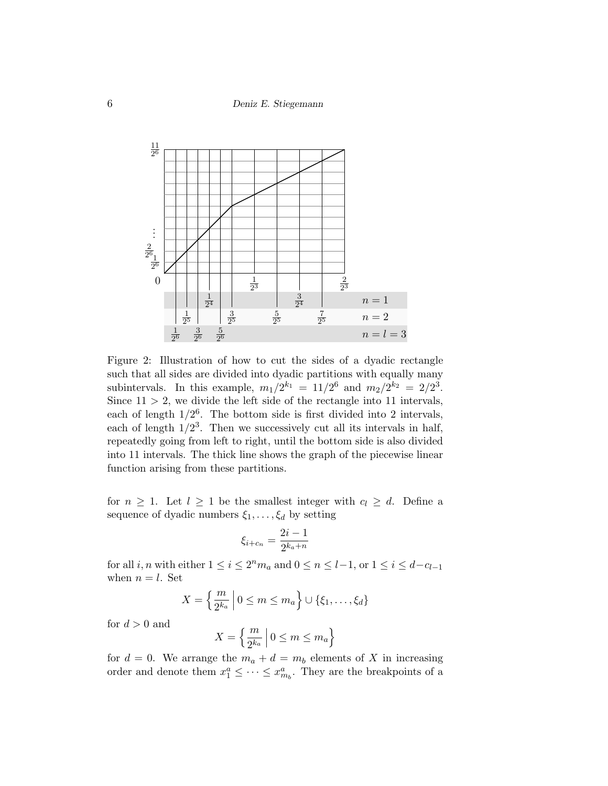6 Deniz E. Stiegemann



Figure 2: Illustration of how to cut the sides of a dyadic rectangle such that all sides are divided into dyadic partitions with equally many subintervals. In this example,  $m_1/2^{k_1} = 11/2^6$  and  $m_2/2^{k_2} = 2/2^3$ . Since  $11 > 2$ , we divide the left side of the rectangle into 11 intervals, each of length  $1/2^6$ . The bottom side is first divided into 2 intervals, each of length  $1/2<sup>3</sup>$ . Then we successively cut all its intervals in half, repeatedly going from left to right, until the bottom side is also divided into 11 intervals. The thick line shows the graph of the piecewise linear function arising from these partitions.

for  $n \geq 1$ . Let  $l \geq 1$  be the smallest integer with  $c_l \geq d$ . Define a sequence of dyadic numbers  $\xi_1, \ldots, \xi_d$  by setting

$$
\xi_{i+c_n} = \frac{2i-1}{2^{k_a+n}}
$$

for all  $i, n$  with either  $1 \leq i \leq 2^n m_a$  and  $0 \leq n \leq l-1$ , or  $1 \leq i \leq d-c_{l-1}$ when  $n = l$ . Set

$$
X = \left\{ \frac{m}{2^{k_a}} \middle| 0 \le m \le m_a \right\} \cup \{\xi_1, \dots, \xi_d\}
$$

for  $d > 0$  and

$$
X = \left\{ \frac{m}{2^{k_a}} \, \middle| \, 0 \le m \le m_a \right\}
$$

for  $d = 0$ . We arrange the  $m_a + d = m_b$  elements of X in increasing order and denote them  $x_1^a \leq \cdots \leq x_{m_b}^a$ . They are the breakpoints of a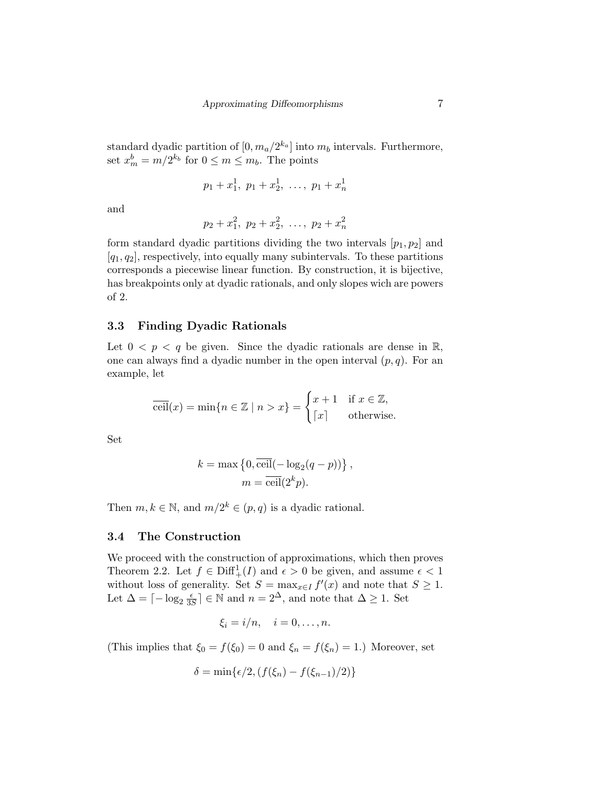standard dyadic partition of  $[0, m_a/2^{k_a}]$  into  $m_b$  intervals. Furthermore, set  $x_m^b = m/2^{k_b}$  for  $0 \le m \le m_b$ . The points

$$
p_1 + x_1^1, \ p_1 + x_2^1, \ \ldots, \ p_1 + x_n^1
$$

and

$$
p_2 + x_1^2, \ p_2 + x_2^2, \ \ldots, \ p_2 + x_n^2
$$

form standard dyadic partitions dividing the two intervals  $[p_1, p_2]$  and  $[q_1, q_2]$ , respectively, into equally many subintervals. To these partitions corresponds a piecewise linear function. By construction, it is bijective, has breakpoints only at dyadic rationals, and only slopes wich are powers of 2.

## 3.3 Finding Dyadic Rationals

Let  $0 < p < q$  be given. Since the dyadic rationals are dense in  $\mathbb{R}$ , one can always find a dyadic number in the open interval  $(p, q)$ . For an example, let

$$
\overline{\text{ceil}}(x) = \min\{n \in \mathbb{Z} \mid n > x\} = \begin{cases} x+1 & \text{if } x \in \mathbb{Z}, \\ \lceil x \rceil & \text{otherwise.} \end{cases}
$$

Set

$$
k = \max \left\{ 0, \overline{\text{ceil}}(-\log_2(q-p)) \right\},\,
$$

$$
m = \overline{\text{ceil}}(2^k p).
$$

Then  $m, k \in \mathbb{N}$ , and  $m/2^k \in (p, q)$  is a dyadic rational.

#### 3.4 The Construction

We proceed with the construction of approximations, which then proves Theorem 2.2. Let  $f \in \text{Diff}^1_+(I)$  and  $\epsilon > 0$  be given, and assume  $\epsilon < 1$ without loss of generality. Set  $S = \max_{x \in I} f'(x)$  and note that  $S \geq 1$ . Let  $\Delta = \lceil -\log_2 \frac{\epsilon}{32} \rceil$  $\frac{\epsilon}{3S}$  ∈ N and  $n = 2^{\Delta}$ , and note that  $\Delta \geq 1$ . Set

$$
\xi_i = i/n, \quad i = 0, \dots, n.
$$

(This implies that  $\xi_0 = f(\xi_0) = 0$  and  $\xi_n = f(\xi_n) = 1$ .) Moreover, set

$$
\delta = \min\{\epsilon/2, (f(\xi_n) - f(\xi_{n-1})/2)\}
$$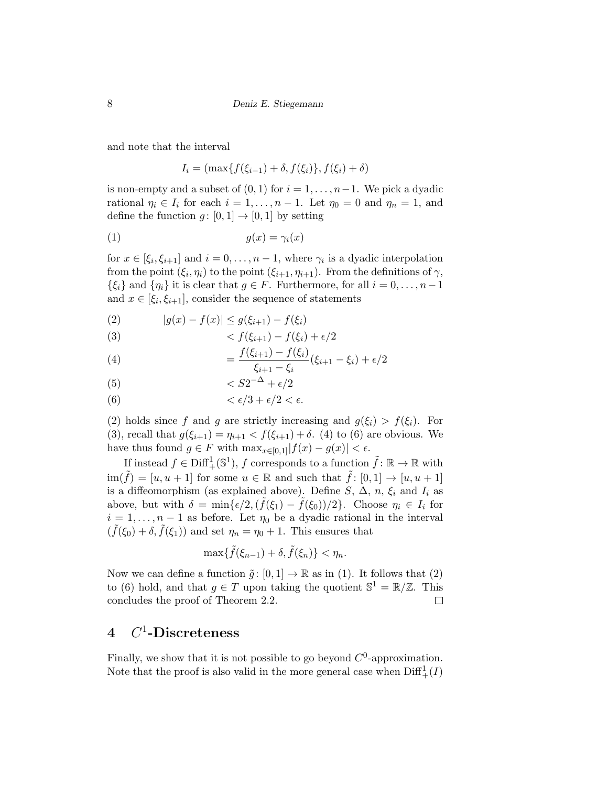and note that the interval

$$
I_i = (\max\{f(\xi_{i-1}) + \delta, f(\xi_i)\}, f(\xi_i) + \delta)
$$

is non-empty and a subset of  $(0, 1)$  for  $i = 1, \ldots, n-1$ . We pick a dyadic rational  $\eta_i \in I_i$  for each  $i = 1, \ldots, n - 1$ . Let  $\eta_0 = 0$  and  $\eta_n = 1$ , and define the function  $g: [0,1] \rightarrow [0,1]$  by setting

$$
(1) \t\t g(x) = \gamma_i(x)
$$

for  $x \in [\xi_i, \xi_{i+1}]$  and  $i = 0, \ldots, n-1$ , where  $\gamma_i$  is a dyadic interpolation from the point  $(\xi_i, \eta_i)$  to the point  $(\xi_{i+1}, \eta_{i+1})$ . From the definitions of  $\gamma$ ,  $\{\xi_i\}$  and  $\{\eta_i\}$  it is clear that  $g \in F$ . Furthermore, for all  $i = 0, \ldots, n-1$ and  $x \in [\xi_i, \xi_{i+1}]$ , consider the sequence of statements

(2)  $|g(x) - f(x)| \leq g(\xi_{i+1}) - f(\xi_i)$ 

$$
(3) \qquad \qquad < f(\xi_{i+1}) - f(\xi_i) + \epsilon/2
$$

(4) 
$$
= \frac{f(\xi_{i+1}) - f(\xi_i)}{\xi_{i+1} - \xi_i} (\xi_{i+1} - \xi_i) + \epsilon/2
$$

$$
(5) \t\t\t
$$

(6)  $\langle \epsilon/3 + \epsilon/2 \langle \epsilon \rangle$ 

(2) holds since f and g are strictly increasing and  $g(\xi_i) > f(\xi_i)$ . For (3), recall that  $g(\xi_{i+1}) = \eta_{i+1} < f(\xi_{i+1}) + \delta$ . (4) to (6) are obvious. We have thus found  $g \in F$  with  $\max_{x \in [0,1]} |f(x) - g(x)| < \epsilon$ .

If instead  $f \in \text{Diff}^1_+(\mathbb{S}^1)$ , f corresponds to a function  $\tilde{f} : \mathbb{R} \to \mathbb{R}$  with  $\lim(\tilde{f}) = [u, u + 1]$  for some  $u \in \mathbb{R}$  and such that  $\tilde{f}: [0, 1] \to [u, u + 1]$ is a diffeomorphism (as explained above). Define S,  $\Delta$ , n,  $\xi_i$  and  $I_i$  as above, but with  $\delta = \min{\{\epsilon/2, (\tilde{f}(\xi_1) - \tilde{f}(\xi_0))/2\}}$ . Choose  $\eta_i \in I_i$  for  $i = 1, \ldots, n-1$  as before. Let  $\eta_0$  be a dyadic rational in the interval  $(\tilde{f}(\xi_0) + \delta, \tilde{f}(\xi_1))$  and set  $\eta_n = \eta_0 + 1$ . This ensures that

$$
\max\{\tilde{f}(\xi_{n-1})+\delta,\tilde{f}(\xi_n)\}<\eta_n.
$$

Now we can define a function  $\tilde{g} : [0, 1] \to \mathbb{R}$  as in (1). It follows that (2) to (6) hold, and that  $g \in T$  upon taking the quotient  $\mathbb{S}^1 = \mathbb{R}/\mathbb{Z}$ . This concludes the proof of Theorem 2.2.  $\Box$ 

# $4$   $C^1$ -Discreteness

Finally, we show that it is not possible to go beyond  $C^0$ -approximation. Note that the proof is also valid in the more general case when  $\text{Diff}^1_+(I)$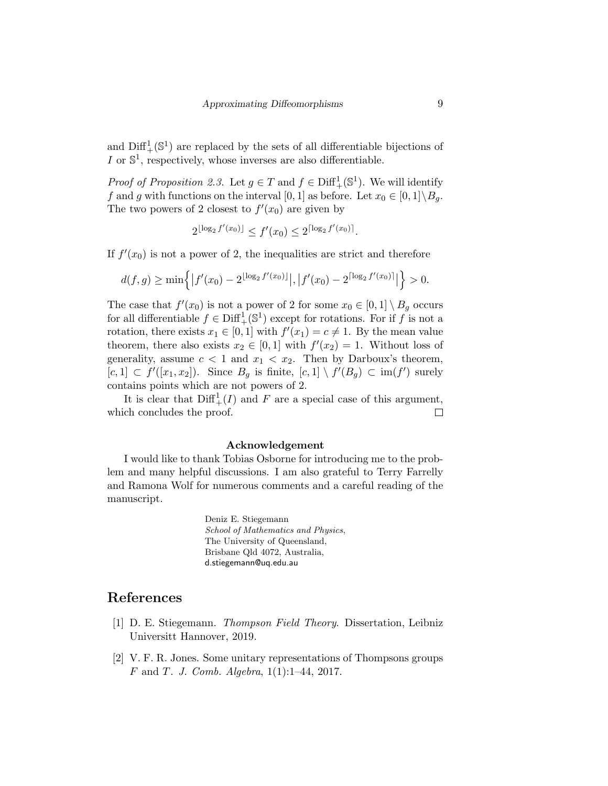and  $\text{Diff}^1_+(\mathbb{S}^1)$  are replaced by the sets of all differentiable bijections of I or  $\mathbb{S}^1$ , respectively, whose inverses are also differentiable.

*Proof of Proposition 2.3.* Let  $g \in T$  and  $f \in \text{Diff}^1_+(\mathbb{S}^1)$ . We will identify f and g with functions on the interval [0, 1] as before. Let  $x_0 \in [0,1] \backslash B_g$ . The two powers of 2 closest to  $f'(x_0)$  are given by

$$
2^{\lfloor \log_2 f'(x_0) \rfloor} \le f'(x_0) \le 2^{\lceil \log_2 f'(x_0) \rceil}.
$$

If  $f'(x_0)$  is not a power of 2, the inequalities are strict and therefore

$$
d(f,g) \ge \min\left\{ |f'(x_0) - 2^{\lfloor \log_2 f'(x_0) \rfloor} |, |f'(x_0) - 2^{\lceil \log_2 f'(x_0) \rceil} | \right\} > 0.
$$

The case that  $f'(x_0)$  is not a power of 2 for some  $x_0 \in [0,1] \setminus B_g$  occurs for all differentiable  $f \in \text{Diff}^1_+(\mathbb{S}^1)$  except for rotations. For if f is not a rotation, there exists  $x_1 \in [0,1]$  with  $f'(x_1) = c \neq 1$ . By the mean value theorem, there also exists  $x_2 \in [0,1]$  with  $f'(x_2) = 1$ . Without loss of generality, assume  $c < 1$  and  $x_1 < x_2$ . Then by Darboux's theorem,  $[c,1] \subset f'([x_1,x_2])$ . Since  $B_g$  is finite,  $[c,1] \setminus f'(B_g) \subset \text{im}(f')$  surely contains points which are not powers of 2.

It is clear that  $\text{Diff}^1_+(I)$  and F are a special case of this argument, which concludes the proof.  $\Box$ 

#### Acknowledgement

I would like to thank Tobias Osborne for introducing me to the problem and many helpful discussions. I am also grateful to Terry Farrelly and Ramona Wolf for numerous comments and a careful reading of the manuscript.

> Deniz E. Stiegemann School of Mathematics and Physics, The University of Queensland, Brisbane Qld 4072, Australia, d.stiegemann@uq.edu.au

# References

- [1] D. E. Stiegemann. Thompson Field Theory. Dissertation, Leibniz Universitt Hannover, 2019.
- [2] V. F. R. Jones. Some unitary representations of Thompsons groups F and T. J. Comb. Algebra, 1(1):1–44, 2017.